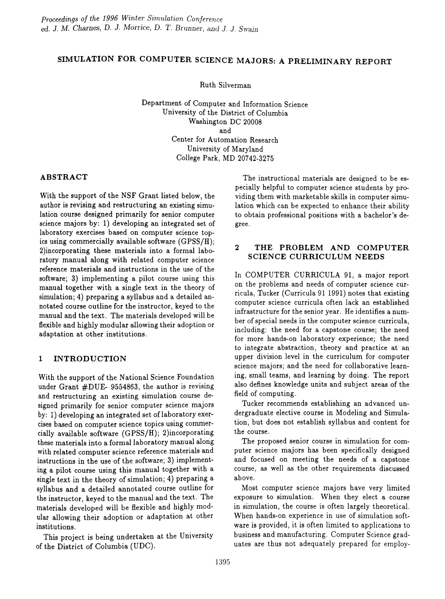# SIMULATION FOR COMPUTER SCIENCE MAJORS: A PRELIMINARY REPORT

Ruth Silverman

Department of Computer and Information Science University of the District of Columbia Washington DC 20008 and Center for Automation Research University of Maryland College Park, MD 20742-3275

## ABSTRACT

With the support of the NSF Grant listed below, the author is revising and restructuring an existing simulation course designed primarily for senior computer science majors by: 1) developing an integrated set of laboratory exercises based on computer science topics using commercially available software  $(GPSS/H)$ ; 2)incorporating these materials into a formal laboratory manual along with related computer science reference materials and instructions in the use of the software; 3) implementing a pilot course using this manual together with a single text in the theory of simulation; 4) preparing a syllabus and a detailed annotated course outline for the instructor, keyed to the manual and the text. The materials developed will be flexible and highly modular allowing their adoption or adaptation at other institutions.

# 1 INTRODUCTION

With the support of the National Science Foundation under Grant #DUE- 9554863, the author is revising and restructuring an existing simulation course designed primarily for senior computer science majors by: 1) developing an integrated set of laboratory exercises based on computer science topics using commercially available software *(GPSSjH);* 2)incorporating these materials into a formal laboratory manual along with related computer science reference materials and instructions in the use of the software; 3) implementing a pilot course using this manual together with a single text in the theory of simulation; 4) preparing a syllabus and a detailed annotated course outline for the instructor, keyed to the manual and the text. The materials developed will be flexible and highly modular allowing their adoption or adaptation at other institutions.

This project is being undertaken at the University of the District of Columbia (UDC).

The instructional materials are designed to be especially helpful to computer science students by providing them with marketable skills in computer simulation which can be expected to enhance their ability to obtain professional positions with a bachelor's degree.

# 2 THE PROBLEM AND COMPUTER SCIENCE CURRICULUM NEEDS

In COMPUTER CURRICULA 91, a major report on the problems and needs of computer science curricula, Tucker (Curricula 91 1991) notes that existing computer science curricula often lack an established infrastructure for the senior year. He identifies a number of special needs in the computer science curricula, including: the need for a capstone course; the need for more hands-on laboratory experience; the need to integrate abstraction, theory and practice at an upper division level in the curriculum for computer science majors; and the need for collaborative learning, small teams, and learning by doing. The report also defines knowledge units and subject areas of the field of computing.

Tucker recommends establishing an advanced undergraduate elective course in Modeling and Simulation, but does not establish syllabus and content for the course.

The proposed senior course in simulation for computer science majors has been specifically designed and focused on meeting the needs of a capstone course, as well as the other requirements discussed above.

Most computer science majors have very limited exposure to simulation. When they elect a course in simulation, the course is often largely theoretical. When hands-on experience in use of simulation software is provided, it is often limited to applications to business and manufacturing. Computer Science graduates are thus not adequately prepared for employ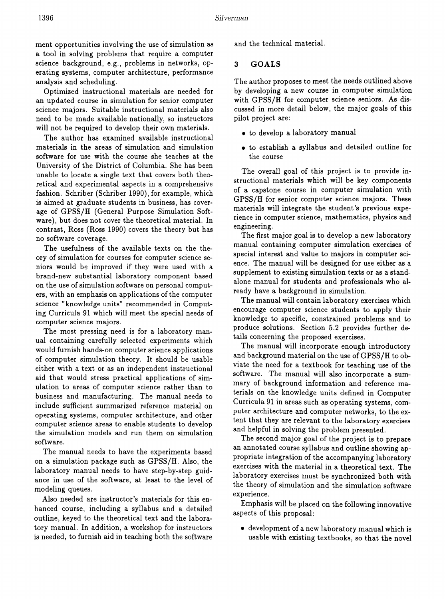ment opportunities involving the use of simulation as a tool in solving problems that require a computer science background, e.g., problems in networks, operating systems, computer architecture, performance analysis and scheduling.

Optimized instructional materials are needed for an updated course in simulation for senior computer science majors. Suitable instructional materials also need to be made available nationally, so instructors will not be required to develop their own materials.

The author has examined available instructional materials in the areas of simulation and simulation software for use with the course she teaches at the University of the District of Columbia. She has been unable to locate a single text that covers both theoretical and experimental aspects in a comprehensive fashion. Schriber (Schriber 1990), for example, which is aimed at graduate students in business, has coverage of GPSS/H (General Purpose Simulation Software), but does not cover the theoretical material. In contrast, Ross (Ross 1990) covers the theory but has no software coverage.

The usefulness of the available texts on the theory of simulation for courses for computer science seniors would be improved if they were used with a brand-new substantial laboratory component based on the use of simulation software on personal computers, with an emphasis on applications of the computer science "knowledge units" recommended in Computing Curricula 91 which will meet the special needs of computer science majors.

The most pressing need is for a laboratory manual containing carefully selected experiments which would furnish hands-on computer science applications of computer simulation theory. It should be usable either with a text or as an independent instructional aid that would stress practical applications of simulation to areas of computer science rather than to business and manufacturing. The manual needs to include sufficient summarized reference material on operating systems, computer architecture, and other computer science areas to enable students to develop the simulation models and run them on simulation software.

The manual needs to have the experiments based on a simulation package such as GPSS/H. Also, the laboratory manual needs to have step-by-step guidance in use of the software, at least to the level of modeling queues.

Also needed are instructor's materials for this enhanced course, including a syllabus and a detailed outline, keyed to the theoretical text and the laboratory manual. In addition, a workshop for instructors is needed, to furnish aid in teaching both the software and the technical material.

#### **3 GOALS**

The author proposes to meet the needs outlined above by developing a new course in computer simulation with GPSS/H for computer science seniors. As discussed in more detail below, the major goals of this pilot project are:

- to develop a laboratory manual
- to establish a syllabus and detailed outline for the course

The overall goal of this project is to provide instructional materials which will be key components of a capstone course in computer simulation with GPSS/H for senior computer science majors. These materials will integrate the student's previous experience in computer science, mathematics, physics and engineering.

The first major goal is to develop a new laboratory manual containing computer simulation exercises of special interest and value to majors in computer science. The manual will be designed for use either as a supplement to existing simulation texts or as a standalone manual for students and professionals who already have a background in simulation.

The manual will contain laboratory exercises which encourage computer science students to apply their knowledge to specific, constrained problems and to produce solutions. Section 5.2 provides further details concerning the proposed exercises.

The manual will incorporate enough introductory and background material on the use of GPSS/H to obviate the need for a textbook for teaching use of the software. The manual will also incorporate a summary of background information and reference materials on the knowledge units defined in Computer Curricula 91 in areas such as operating systems, computer architecture and computer networks, to the extent that they are relevant to the laboratory exercises and helpful in solving the problem presented.

The second major goal of the project is to prepare an annotated course syllabus and outline showing appropriate integration of the accompanying laboratory exercises with the material in a theoretical text. The laboratory exercises must be synchronized both with the theory of simulation and the simulation software experience.

Emphasis will be placed on the following innovative aspects of this proposal:

• development of a new laboratory manual which is usable with existing textbooks, so that the novel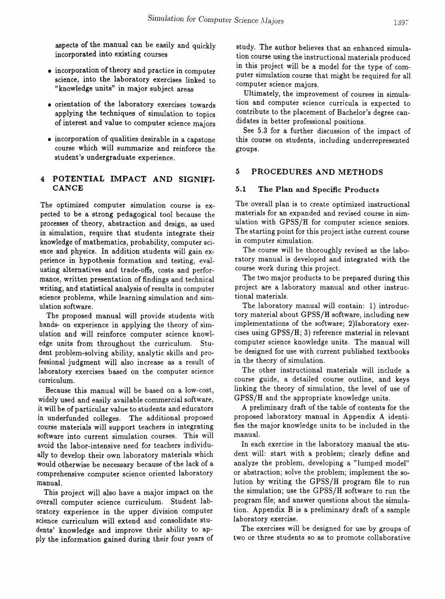aspects of the manual can be easily and quickly incorporated into existing courses

- incorporation of theory and practice in computer science, into the laboratory exercises linked to "knowledge units" in major subject areas
- orientation of the laboratory exercises towards applying the techniques of simulation to topics of interest and value to computer science majors
- incorporation of qualities desirable in a capstone course which will summarize and reinforce the student's undergraduate experience.

## 4 POTENTIAL IMPACT AND SIGNIFI-CANCE

The optimized computer simulation course is expected to be a strong pedagogical tool because the processes of theory, abstraction and design, as used in simulation, require that students integrate their knowledge of mathematics, probability, computer science and physics. In addition students will gain experience in hypothesis formation and testing, evaluating alternatives and trade-offs, costs and performance, written presentation of findings and technical writing, and statistical analysis of results in computer science problems, while learning simulation and simulation software.

The proposed manual will provide students with hands- on experience in applying the theory of simulation and will reinforce computer science knowledge units from throughout the curriculum. Student problem-solving ability, analytic skills and professional judgment will also increase as a result of laboratory exercises based on the computer science curriculum.

Because this manual will be based on a low-cost, widely used and easily available commercial software, it will be of particular value to students and educators in underfunded colleges. The additional proposed course materials will support teachers in integrating software into current simulation courses. This will avoid the labor-intensive need for teachers individually to develop their own laboratory materials which would otherwise be necessary because of the lack of a comprehensive computer science oriented laboratory manual.

This project will also have a major impact on the overall computer science curriculum. Student laboratory experience in the upper division computer science curriculum will extend and consolidate students' knowledge and improve their ability to apply the information gained during their four years of study. The author believes that an enhanced simulation course using the instructional materials produced in this project will be a model for the type of computer simulation course that might be required for all computer science majors.

Ultimately, the improvement of courses in simulation and computer science curricula is expected to contribute to the placement of Bachelor's degree candidates in better professional positions.

See 5.3 for a further discussion of the impact of this course on students, including underrepresented groups.

# 5 PROCEDURES AND METHODS

#### 5.1 The Plan and Specific Products

The overall plan is to create optimized instructional materials for an expanded and revised course in simulation with GPSS/H for computer science seniors. The starting point for this project isthe current course in computer simulation.

The course will be thoroughly revised as the laboratory manual is developed and integrated with the course work during this project.

The two major products to be prepared during this project are a laboratory manual and other instructional materials.

The laboratory manual will contain: 1) introductory material about GPSS/H software, including new implementations of the software; 2)laboratory exercises using GPSS/H; 3) reference material in relevant computer science knowledge units. The manual will be designed for use with current published textbooks in the theory of simulation.

The other instructional materials will include a course guide, a detailed course outline, and keys linking the theory of simulation, the level of use of GPSS/H and the appropriate knowledge units.

A preliminary draft of the table of contents for the proposed laboratory manual in Appendix A identifies the major knowledge units to be included in the manual.

In each exercise in the laboratory manual the student will: start with a problem; clearly define and analyze the problem, developing a "lumped model" or abstraction; solve the problem; implement the solution by writing the GPSS/H program file to run the simulation; use the GPSS/H software to run the program file; and answer questions about the simulation. Appendix B is a preliminary draft of a sample laboratory exercise.

The exercises will be designed for use by groups of two or three students so as to promote collaborative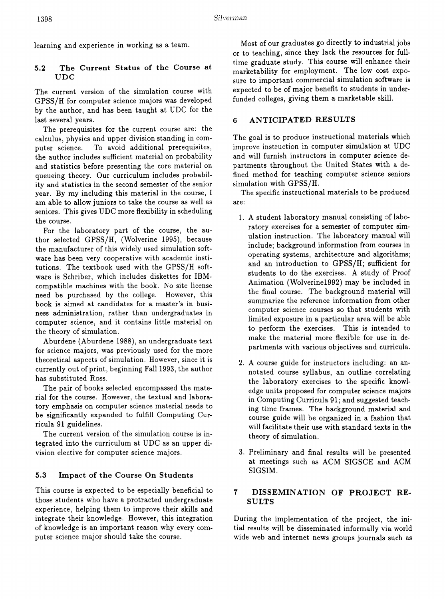learning and experience in working as a team.

## 5.2 The Current Status of the Course at UDC

The current version of the simulation course with GPSS/H for computer science majors was developed by the author, and has been taught at UDC for the last several years.

The prerequisites for the current course are: the calculus, physics and upper division standing in computer science. To avoid additional prerequisites, the author includes sufficient material on probability and statistics before presenting the core material on queueing theory. Our curriculum includes probability and statistics in the second semester of the senior year. By my including this material in the course, I am able to allow juniors to take the course as well as seniors. This gives UDC more flexibility in scheduling the course.

For the laboratory part of the course, the author selected *GPSSjH,* (Wolverine 1995), because the manufacturer of this widely used simulation software has been very cooperative with academic institutions. The textbook used with the GPSS/H software is Schriber, which includes diskettes for IBMcompatible machines with the book. No site license need be purchased by the college. However, this book is aimed at candidates for a master's in business administration, rather than undergraduates in computer science, and it contains little material on the theory of simulation.

Aburdene (Aburdene 1988), an undergraduate text for science majors, was previously used for the more theoretical aspects of simulation. However, since it is currently out of print, beginning Fall 1993, the author has substituted Ross.

The pair of books selected encompassed the material for the course. However, the textual and laboratory emphasis on computer science material needs to be significantly expanded to fulfill Computing Curricula 91 guidelines.

The current version of the simulation course is integrated into the curriculum at UDC as an upper division elective for computer science majors.

## 5.3 Impact of the Course On Students

This course is expected to be especially beneficial to those students who have a protracted undergraduate experience, helping them to improve their skills and integrate their knowledge. However, this integration of knowledge is an important reason why every computer science major should take the course.

Most of our graduates go directly to industrial jobs or to teaching, since they lack the resources for fulltime graduate study. This course will enhance their marketability for employment. The low cost exposure to important commercial simulation software is expected to be of major benefit to students in underfunded colleges, giving them a marketable skill.

#### 6 ANTICIPATED RESULTS

The goal is to produce instructional materials which improve instruction in computer simulation at UDC and will furnish instructors in computer science departments throughout the United States with a defined method for teaching computer science seniors simulation with  $GPSS/H$ .

The specific instructional materials to be produced are:

- 1. A student laboratory manual consisting of laboratory exercises for a semester of computer simulation instruction. The laboratory manual will include; background information from courses in operating systems, architecture and algorithms; and an introduction to GPSS/H; sufficient for students to do the exercises. A study of Proof Animation (WolverineI992) may be included in the final course. The background material will summarize the reference information from other computer science courses so that students with limited exposure in a particular area will be able to perform the exercises. This is intended to make the material more flexible for use in departments with various objectives and curricula.
- 2. A course guide for instructors including: an annotated course syllabus, an outline correlating the laboratory exercises to the specific knowledge units proposed for computer science majors in Computing Curricula 91; and suggested teaching time frames. The background material and course guide will be organized in a fashion that will facilitate their use with standard texts in the theory of simulation.
- 3. Preliminary and final results will be presented at meetings such as ACM SIGSCE and ACM SIGSIM.

## 7 DISSEMINATION OF PROJECT RE-SULTS

During the implementation of the project, the initial results will be disseminated informally via world wide web and internet news groups journals such as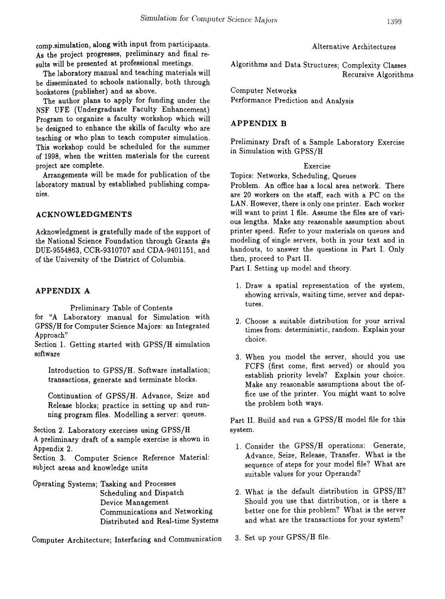comp.simulation, along with input from participants. As the project progresses, preliminary and final results will be presented at professional meetings.

The laboratory manual and teaching materials will be disseminated to schools nationally, both through bookstores (publisher) and as above.

The author plans to apply for funding under the NSF UFE (Undergraduate Faculty Enhancement) Program to organize a faculty workshop which will be designed to enhance the skills of faculty who are teaching or who plan to teach computer simulation. This workshop could be scheduled for the summer of 1998, when the written materials for the current project are complete.

Arrangements will be made for publication of the laboratory manual by established publishing companies.

## ACKNOWLEDGMENTS

Acknowledgment is gratefully made of the support of the National Science Foundation through Grants #s DUE-9554863, CCR-9310707 and CDA-9401151, and of the University of the District of Columbia.

## APPENDIX A

Preliminary Table of Contents for "A Laboratory manual for Simulation with GPSS/H for Computer Science Majors: an Integrated Approach"

Section 1. Getting started with GPSS/H simulation software

Introduction to GPSS/H. Software installation; transactions, generate and terminate blocks.

Continuation of GPSS/H. Advance, Seize and Release blocks; practice in setting up and running program files. Modelling a server: queues.

Section 2. Laboratory exercises using GPSS/H A preliminary draft of a sample exercise is shown in Appendix 2.

Section 3. Computer Science Reference Material: subject areas and knowledge units

Operating Systems; Tasking and Processes Scheduling and Dispatch Device Management Communications and Networking Distributed and Real-time Systems

Computer Architecture; Interfacing and Communication

## Alternative Architectures

Algorithms and Data Structures; Complexity Classes Recursive Algorithms

Computer Networks Performance Prediction and Analysis

# APPENDIX B

Preliminary Draft of a Sample Laboratory Exercise in Simulation with GPSS/H

#### Exercise

Topics: Networks, Scheduling, Queues

Problem. An office has a local area network. There are 20 workers on the staff, each with a PC on the LAN. However, there is only one printer. Each worker will want to print 1 file. Assume the files are of various lengths. Make any reasonable assumption about printer speed. Refer to your materials on queues and modeling of single servers, both in your text and in handouts, to answer the questions in Part I. Only then, proceed to Part II.

Part I. Setting up model and theory.

- 1. Draw a spatial representation of the system, showing arrivals, waiting time, server and departures.
- 2. Choose a suitable distribution for your arrival times from: deterministic, random. Explain your choice.
- 3. When you model the server, should you use FCFS (first come, first served) or should you establish priority levels? Explain your choice. Make any reasonable assumptions about the office use of the printer. You might want to solve the problem both ways.

Part II. Build and run a GPSS/H model file for this system.

- 1. Consider the GPSS/H operations: Generate, Advance, Seize, Release, Transfer. What is the sequence of steps for your model file? What are suitable values for your Operands?
- 2. What is the default distribution in GPSS/H? Should you use that distribution, or is there a better one for this problem? What is the server and what are the transactions for your system?
- 3. Set up your GPSS/H file.